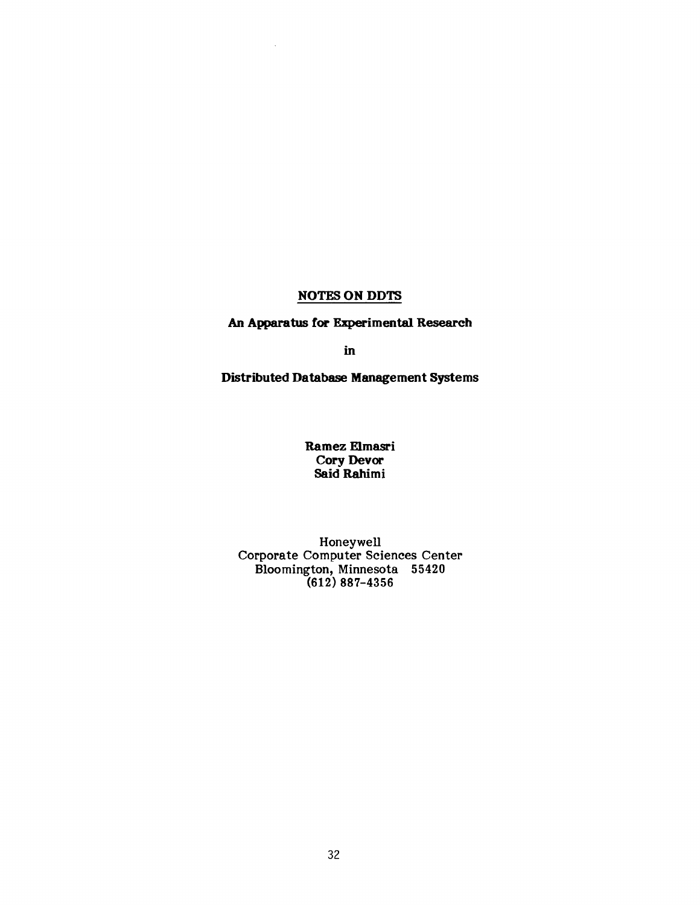# NOTES ON DDTS

An Apparatus for Experimental Research

in

**Distributed Database Management Systems** 

**Ramez Elmasri**  Cory Devor Said Rahimi

Honeywell Corporate Computer Sciences Center Bloomington, Minnesota 55420 (612) 887-4356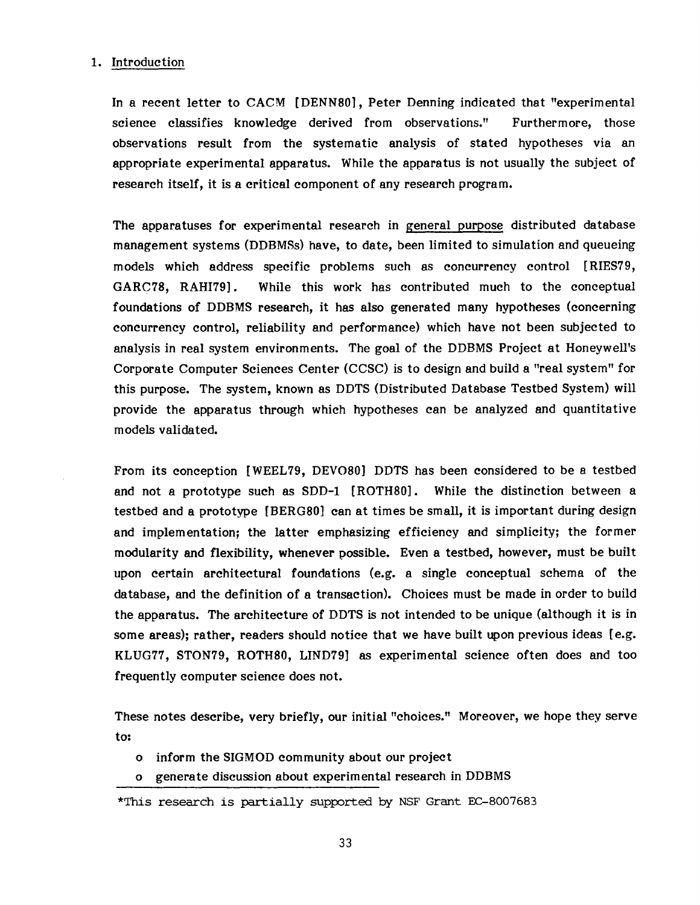#### 1. Introduction

In a recent letter to CACM [DENNS0], Peter Denning indicated that "experimental science classifies knowledge derived from observations." Furthermore, those observations result from the systematic analysis of stated hypotheses via an appropriate experimental apparatus. While the apparatus is not usually the subject of research itself, it is a critical component of any research program.

The apparatuses for experimental research in general purpose distributed database management systems (DDBMSs) have, to date, been limited to simulation and queueing models which address specific problems such as concurrency control [RIES79, GARC78, RAHI79]. While this work has contributed much to the conceptual foundations of DDBMS research, it has also generated many hypotheses (concerning concurrency control, reliability and performance) which have not been subjected to analysis in real system environments. The goal of the DDBMS Project at Honeywell's Corporate Computer Sciences Center (CCSC) is to design and build a "real system" for this purpose. The system, known as DDTS (Distributed Database Testbed System) will provide the apparatus through which hypotheses can be analyzed and quantitative models validated.

From its conception [WEEL79, DEVO80] DDTS has been considered to be a testbed and not a prototype such as SDD-1 [ROTH80]. While the distinction between a testbed and a prototype [BERG80] can at times be small, it is important during design and implementation; the latter emphasizing efficiency and simplicity; the former modularity and flexibility, whenever possible. Even a testbed, however, must be built upon Certain architectural foundations (e.g. a single conceptual schema of the database, and the definition of a transaction). Choices must be made in order to build the apparatus. The architecture of DDTS is not intended to be unique (although it is in some areas); rather, readers should notice that we have built upon previous ideas [e.g. KLUG77, STON79, ROTHS0, LIND79] as experimental science often does and too frequently computer science does not.

These notes describe, very briefly, our initial "choices." Moreover, we hope they serve to:

- o inform the SIGMOD community about our project
- o generate discussion about experimental research in DDBMS
- \*This research is partially supported by NSF Grant EC-8007683

33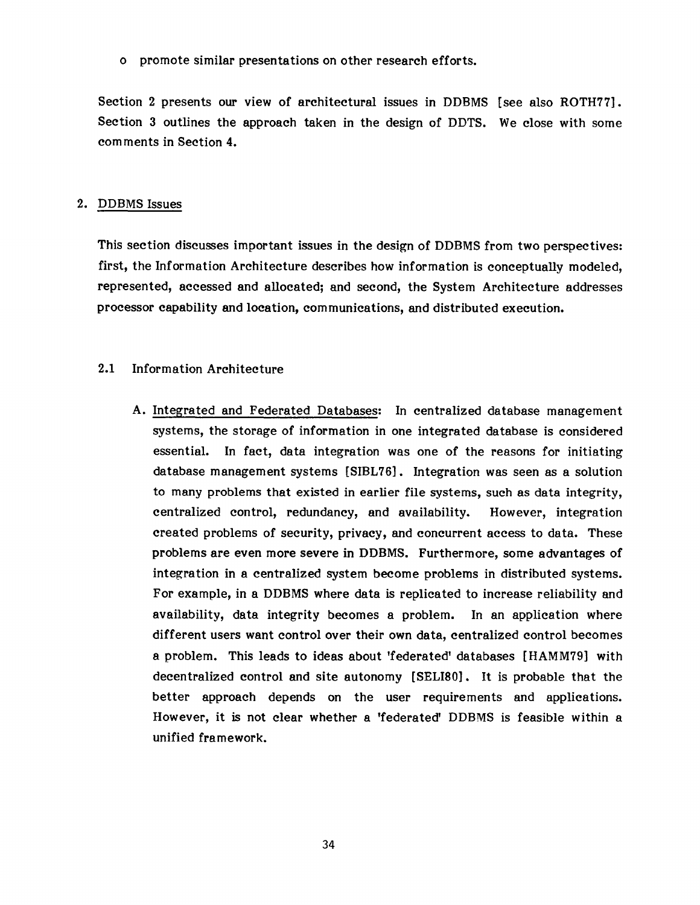o promote similar presentations on other research efforts.

Section 2 presents our view of architectural issues in DDBMS [see also ROTH77]. Section 3 outlines the approach taken in the design of DDTS. We close with some comments in Section 4.

#### 2. DDBMS Issues

This section discusses important issues in the design of DDBMS from two perspectives: first, the Information Architecture describes how information is conceptually modeled, represented, accessed and allocated; and second, the System Architecture addresses processor capability and location, communications, and distributed execution.

## 2.1 Information Architecture

A. Integrated and Federated Databases: In centralized database management systems, the storage of information in one integrated database is considered essential. In fact, data integration was one of the reasons for initiating database management systems [SIBL76]. Integration was seen as a solution to many problems that existed in earlier file systems, such as data integrity, centralized control, redundancy, and availability. However, integration created problems of security, privacy, and concurrent access to data. These problems are even more severe in DDBMS. Furthermore, some advantages of integration in a centralized system become problems in distributed systems. For example, in a DDBMS where data is replicated to increase reliability and availability, data integrity becomes a problem. In an application where different users want control over their own data, centralized control becomes a problem. This leads to ideas about 'federated' databases [HAMM79] with decentralized control and site autonomy [SELI80]. It is probable that the better approach depends on the user requirements and applications. However, it is not clear whether a 'federated' DDBMS is feasible within a unified framework.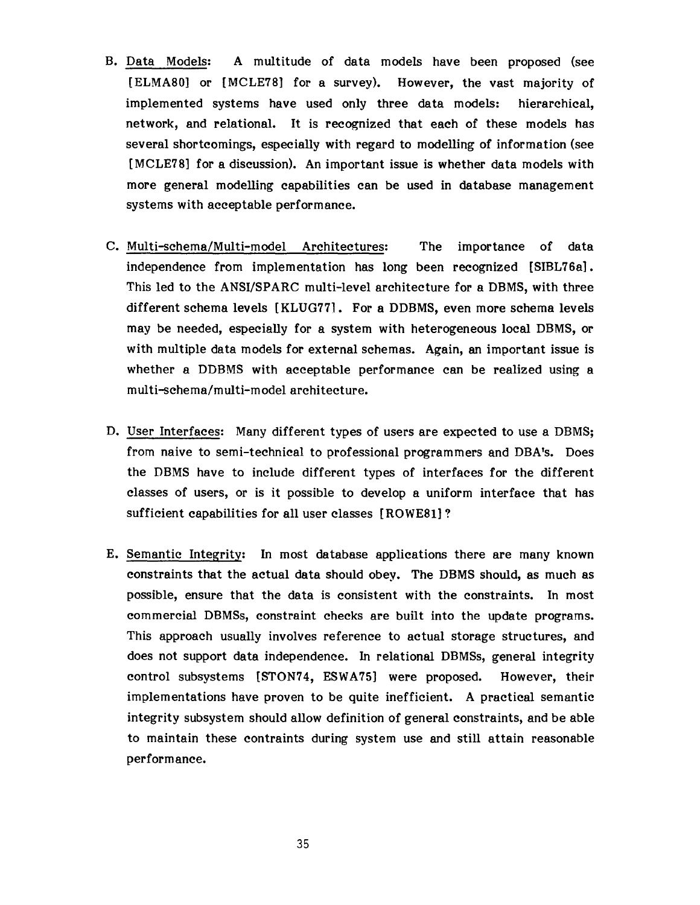- B. Data Models: A multitude of data models have been proposed (see [ELMA80] or [MCLE78] for a survey). However, the vast majority of implemented systems have used only three data models: hierarchical, network, and relational. It is recognized that each of these models has several shortcomings, especially with regard to modelling of information (see [MCLE78] for a discussion). An important issue is whether data models with more general modelling capabilities can be used in database management systems with acceptable performance.
- C. Multi-schema/Multi-model Architectures: The importance of data independence from implementation has long been recognized [SIBL76a]. This led to the ANSI/SPARC multi-level architecture for a DBMS, with three different schema levels [KLUG77]. For a DDBMS, even more schema levels may be needed, especially for a system with heterogeneous local DBMS, or with multiple data models for external schemas. Again, an important issue is whether a DDBMS with acceptable performance can be realized using a multi-schema/multi-model architecture.
- D. User Interfaces: Many different types of users are expected to use a DBMS; from naive to semi-technical to professional programmers and DBA's. Does the DBMS have to include different types of interfaces for the different classes of users, or is it possible to develop a uniform interface that has sufficient capabilities for all user classes [ROWE81] ?
- E. Semantic Integrity: In most database applications there are many known constraints that the actual data should obey. The DBMS should, as much as possible, ensure that the data is consistent with the constraints. In most commercial DBMSs, constraint checks are built into the update programs. This approach usually involves reference to actual storage structures, and does not support data independence. In relational DBMSs, general integrity control subsystems [STON74, ESWA75] were proposed. However, their implementations have proven to be quite inefficient. A practical semantic integrity subsystem should allow definition of general constraints, and be able to maintain these contraints during system use and still attain reasonable performance.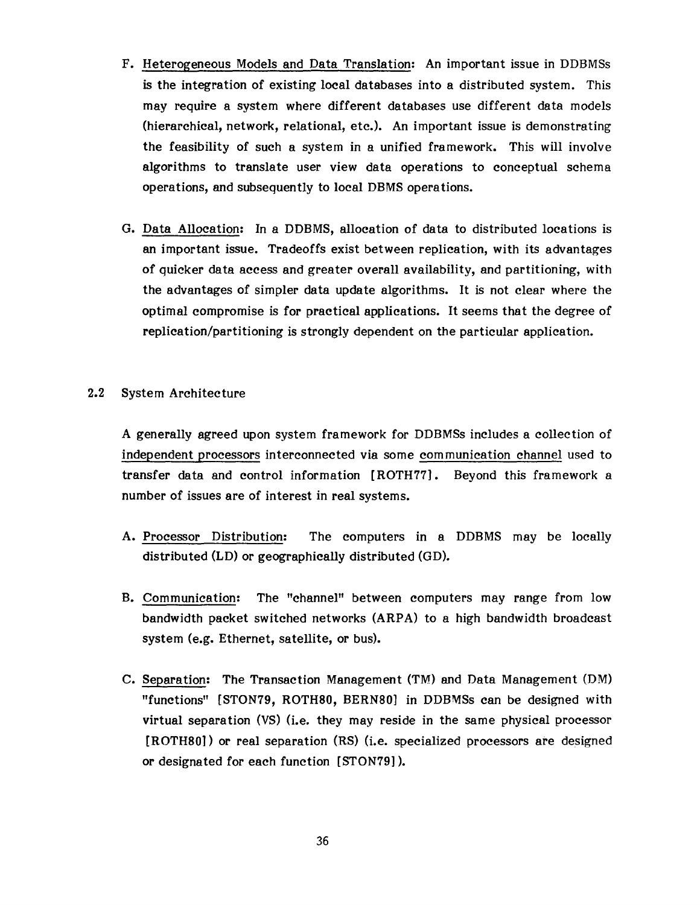- F. Heterogeneous Models and Data Translation: An important issue in DDBMSs is the integration of existing local databases into a distributed system. This may require a system where different databases use different data models (hierarchical, network, relational, etc.). An important issue is demonstrating the feasibility of such a system in a unified framework. This will involve algorithms to translate user view data operations to conceptual schema operations, and subsequently to local DBMS operations.
- G. Data Allocation: In a DDBMS, allocation of data to distributed locations is an important issue. Tradeoffs exist between replication, with its advantages of quicker data access and greater overall availability, and partitioning, with the advantages of simpler data update algorithms. It is not clear where the optimal compromise is for practical applications. It seems that the degree of replication/partitioning is strongly dependent on the particular application.
- 2.2 System Architecture

A generally agreed upon system framework for DDBMSs includes a collection of independent processors interconnected via some communication channel used to transfer data and control information [ROTH77]. Beyond this framework a number of issues are of interest in real systems.

- A. Processor Distribution: The computers in a DDBMS may be locally distributed (LD) or geographically distributed (GD).
- **B.** Communication: The "channel" between computers may range from low bandwidth packet switched networks (ARPA) to a high bandwidth broadcast system (e.g. Ethernet, satellite, or bus).
- C. Separation: The Transaction Management (TM) and Data Management (DM) "functions" [STON79, ROTH80, BERN80] in DDBMSs can be designed with virtual separation (VS) (i.e. they may reside in the same physical processor [ROTH80]) or real separation (RS) (i.e. specialized processors are designed or designated for each function [STON79] ).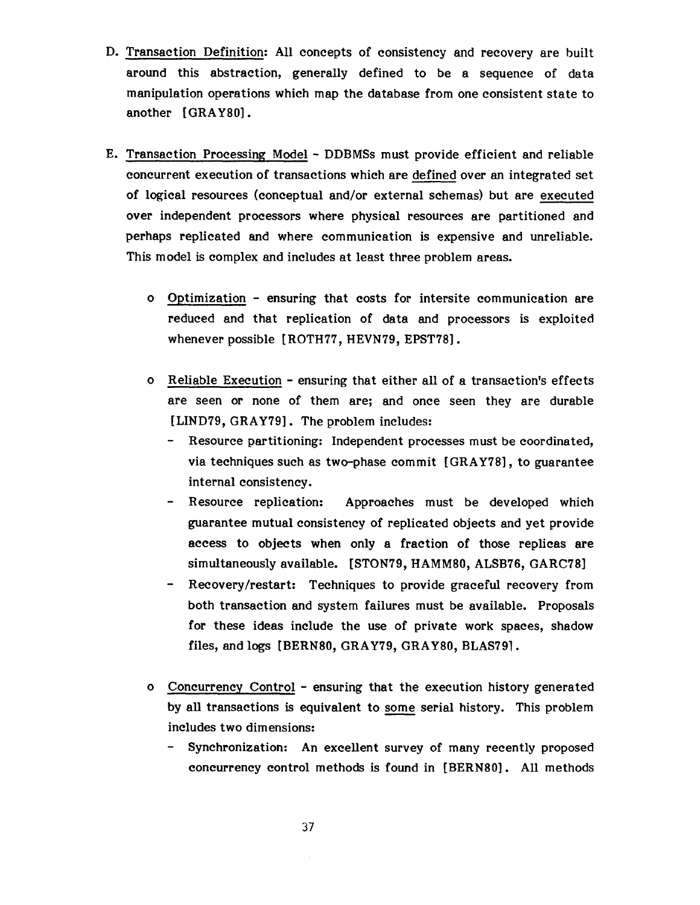- D. Transaction Definition: All concepts of consistency and recovery are built around this abstraction, generally defined to be a sequence of data manipulation operations which map the database from one consistent state to another [GRAYS0].
- E. Transaction Processing Model DDBMSs must provide efficient and reliable concurrent execution of transactions which are defined over an integrated set of logical resources (conceptual and/or external schemas) but are executed over independent processors where physical resources are partitioned and perhaps replicated and where communication is expensive and unreliable. This model is complex and includes at least three problem areas.
	- Optimization ensuring that costs for intersite communication are reduced and that replication of data and processors is exploited whenever possible [ ROTH77, HEVN79, EPST78].
	- Reliable Execution ensuring that either all of a transaction's effects are seen or none of them are; and once seen they are durable [LIND79, GRAY79]. The problem includes:
		- Resource partitioning: Independent processes must be coordinated, via techniques such as two-phase commit [GRAY78], to guarantee internal consistency.
		- Resource replication: Approaches must be developed which guarantee mutual consistency of replicated objects and yet provide access to objects when only a fraction of those replicas are simultaneously available. [STON79, HAMMS0, ALSB76, GARC78]
		- Recovery/restart: Techniques to provide graceful recovery from both transaction and system failures must be available. Proposals for these ideas include the use of private work spaces, shadow files, and logs [BERN80, GRAY79, GRAY80, BLAS79].
	- Concurrency Control ensuring that the execution history generated by all transactions is equivalent to some serial history. This problem includes two dimensions:
		- Synchronization: An excellent survey of many recently proposed concurrency control methods is found in [BERN80]. All methods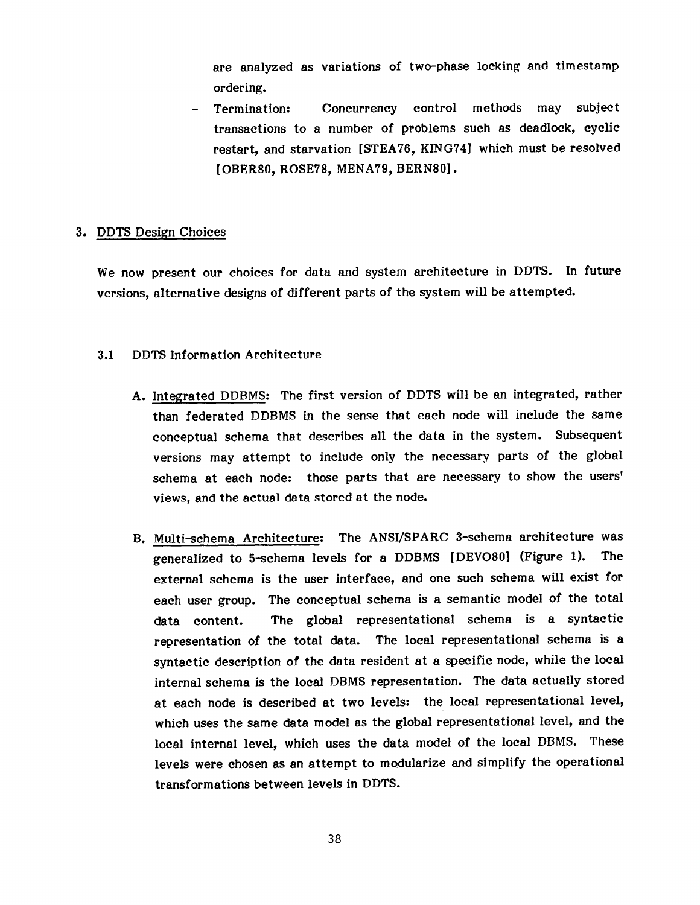are analyzed as variations of two-phase locking and timestamp ordering.

Termination: Concurrency control methods may subject transactions to a number of problems such as deadlock, cyclic restart, and starvation [STEA76, KING74] which must be resolved [OBER80, ROSE78, MENA79, BERN80].

# 3. DDTS Design Choices

We now present our choices for data and system architecture in DDTS. In future versions, alternative designs of different parts of the system will be attempted.

## 3.1 DDTS Information Architecture

- A. Integrated DDBMS: The first version of DDTS will be an integrated, rather than federated DDBMS in the sense that each node will include the same conceptual schema that describes all the data in the system. Subsequent versions may attempt to include only the necessary parts of the global schema at each node: those parts that are necessary to show the users' views, and the actual data stored at the node.
- **B.** Multi-schema Architecture: The ANSI/SPARC 3-schema architecture was generalized to 5-schema levels for a DDBMS [DEVO80] (Figure 1). The external schema is the user interface, and one such schema will exist for each user group. The conceptual schema is a semantic model of the total data content. The global representational schema is a syntactic representation of the total data. The local representational schema is a syntactic description of the data resident at a specific node, while the local internal schema is the local DBMS representation. The data actually stored at each node is described at two levels: the local representational level, which uses the same data model as the global representational level, and the local internal level, which uses the data model of the local DBMS. These levels were chosen as an attempt to modularize and simplify the operational transformations between levels in DDTS.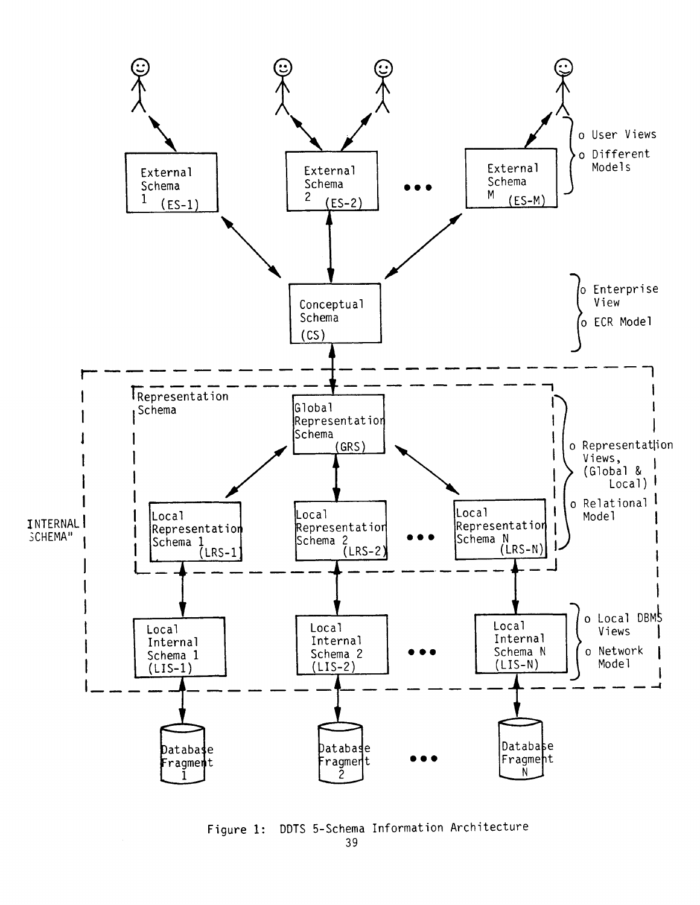

Figure 1: DDTS 5-Schema Information Architecture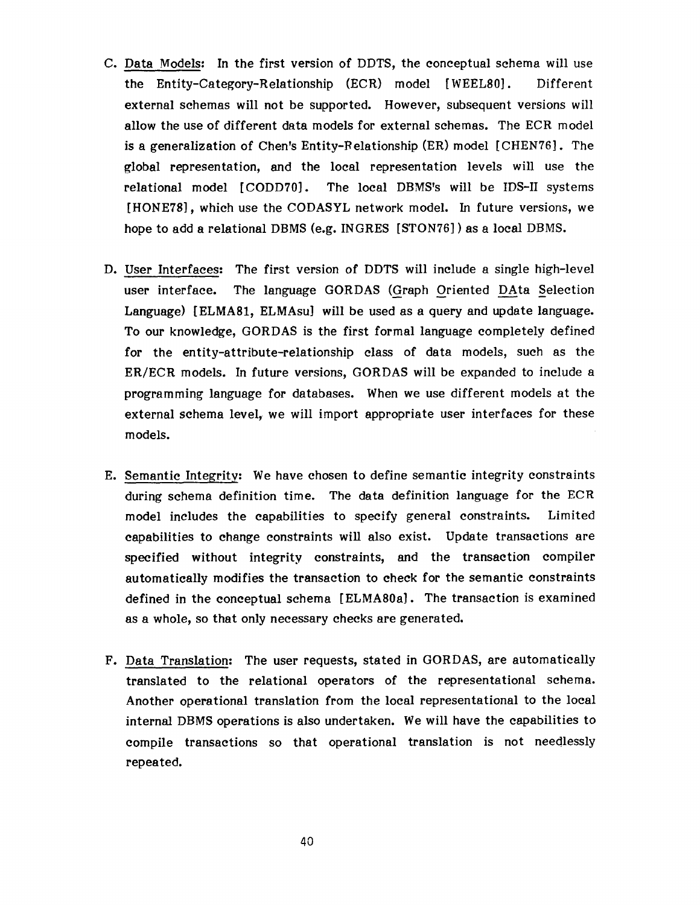- C. Data Models: In the first version of DDTS, the conceptual schema will use the Entity-Category-Relationship (ECR) model [WEEL80]. Different external schemas will not be supported. However, subsequent versions will allow the use of different data models for external schemas. The ECR model is a generalization of Chen's Entity-Relationship  $(ER)$  model  $[CHEN76]$ . The global representation, and the local representation levels will use the relational model [CODD70]. The local DBMS's will be IDS-II systems [HONE78], which use the CODASYL network model. In future versions, we hope to add a relational DBMS (e.g. INGRES [STON76] ) as a local DBMS.
- D. User Interfaces: The first version of DDTS will include a single high-level user interface. The language GORDAS (Graph Oriented DAta Selection Language) [ELMA81, ELMAsu] will be used as a query and update language. To our knowledge, GORDAS is the first formal language completely defined for the entity-attribute-relationship class of data models, such as the ER/ECR models. In future versions, GORDAS will be expanded to include a programming language for databases. When we use different models at the external schema level, we will import appropriate user interfaces for these models.
- E. Semantic Integrity: We have chosen to define semantic integrity constraints during schema definition time. The data definition language for the ECR model includes the capabilities to specify general constraints. Limited capabilities to change constraints will also exist. Update transactions are specified without integrity constraints, and the transaction compiler automatically modifies the transaction to check for the semantic constraints defined in the conceptual schema [ELMA80a]. The transaction is examined as a whole, so that only necessary checks are generated.
- F. Data Translation: The user requests, stated in GORDAS, are automatically translated to the relational operators of the representational schema. Another operational translation from the local representational to the local internal DBMS operations is also undertaken. We will have the capabilities to compile transactions so that operational translation is not needlessly repeated.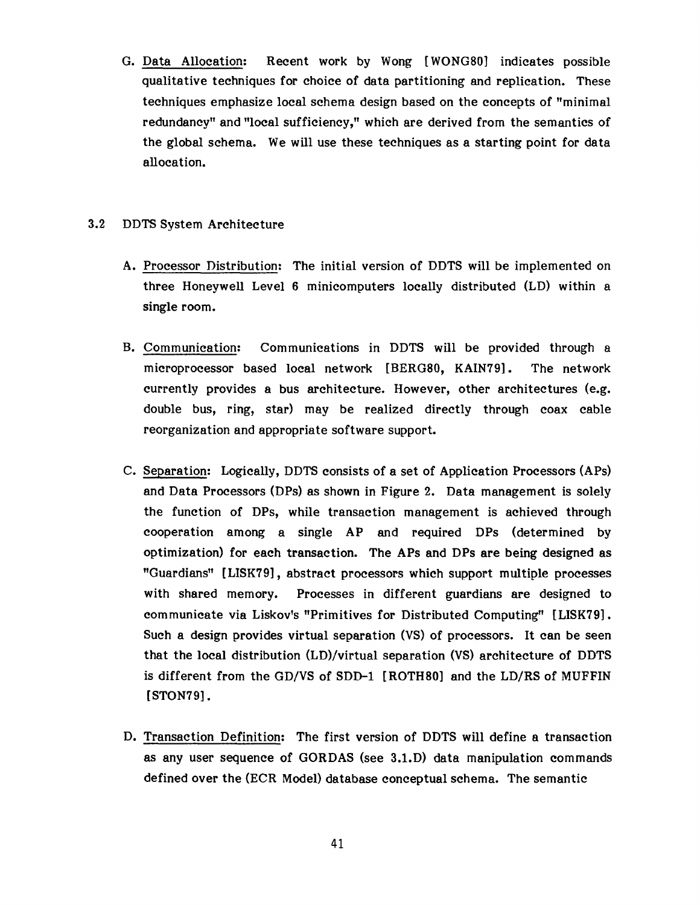G. Data Allocation: Recent work by Wong [WONGS0] indicates possible qualitative techniques for choice of data partitioning and replication. These techniques emphasize local schema design based on the concepts of "minimal redundancy" and "local sufficiency," which are derived from the semantics of the global schema. We will use these techniques as a starting point for data allocation.

# 3.2 DDTS System Architecture

- A. Processor Distribution: The initial version of DDTS will be implemented on three Honeywell Level 6 minicomputers locally distributed (LD) within a single room.
- B. Communication: Communications in DDTS will be provided through a microprocessor based local network [BERG80, KAIN79]. The network currently provides a bus architecture. However, other architectures (e.g. double bus, ring, star) may be realized directly through coax cable reorganization and appropriate software support.
- C. Separation: Logically, DDTS consists of a set of Application Processors (APs) and Data Processors (DPs) as shown in Figure 2. Data management is solely the function of DPs, while transaction management is achieved through cooperation among a single AP and required DPs (determined by optimization) for each transaction. The APs and DPs are being designed as "Guardians" [LISK79], abstract processors which support multiple processes with shared memory. Processes in different guardians are designed to communicate via Liskov's "Primitives for Distributed Computing" [LISK79]. Such a design provides virtual separation (VS) of processors. It can be seen that the local distribution (LD)/virtual separation (VS) architecture of DDTS is different from the GD/VS of SDD-1 [ROTHS0] and the LD/RS of MUFFIN [STON79].
- D. Transaction Definition: The first version of DDTS will define a transaction as any user sequence of GORDAS (see 3.I.D) data manipulation commands defined over the (ECR Model) database conceptual schema. The semantic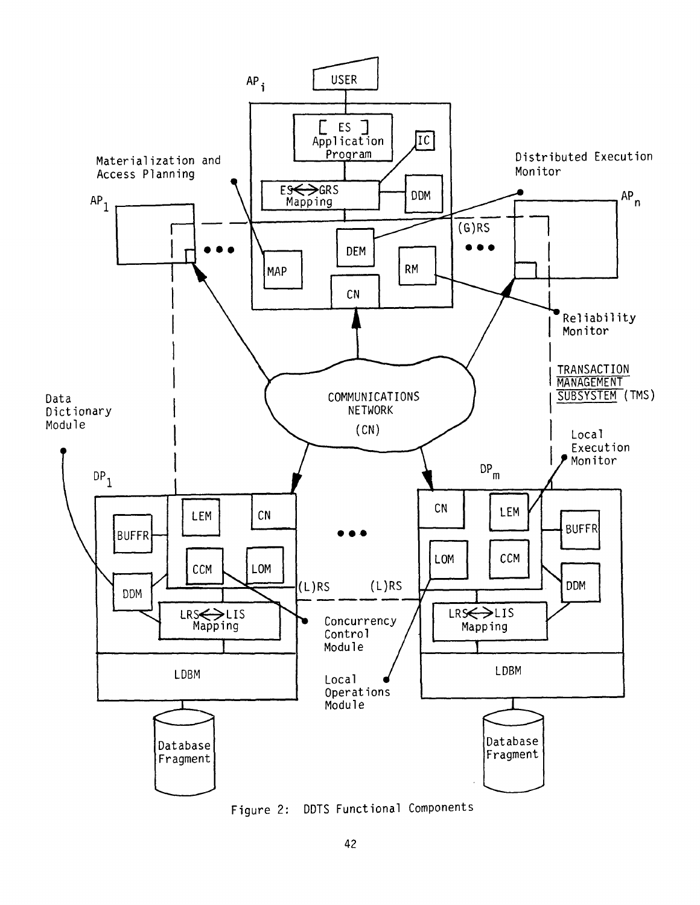

Figure 2: DDTS Functional Components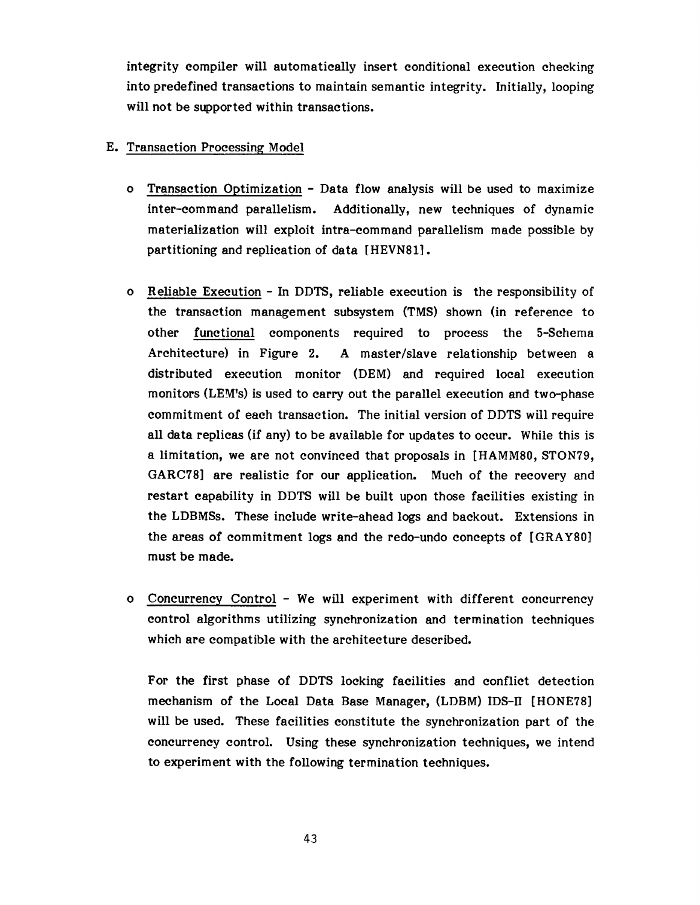integrity compiler will automatically insert conditional execution checking into predefined transactions to maintain semantic integrity. Initially, looping will not be supported within transactions.

# E. Transaction Processing Model

- O Transaction Optimization Data flow analysis will be used to maximize inter-command parallelism. Additionally, new techniques of dynamic materialization will exploit intra-command parallelism made possible by partitioning and replication of data [HEVN81].
- O Reliable Execution In DDTS, reliable execution is the responsibility of the transaction management subsystem (TMS) shown (in reference to other functional components required to process the 5-Schema Architecture) in Figure 2. A master/slave relationship between a distributed execution monitor (DEM) and required local execution monitors (LEM's) is used to carry out the parallel execution and two-phase commitment of each transaction. The initial version of DDTS will require all data replicas (if any) to be available for updates to occur. While this is a limitation, we are not convinced that proposals in [HAMM80, STON79, GARC78] are realistic for our application. Much of the recovery and restart capability in DDTS will be built upon those facilities existing in the LDBMSs. These include write-ahead logs and backout. Extensions in the areas of commitment logs and the redo-undo concepts of [GRAY80] must be made.
- O Concurrency Control We will experiment with different concurrency control algorithms utilizing synchronization and termination techniques which are compatible with the architecture described.

For the first phase of DDTS locking facilities and conflict detection mechanism of the Local Data Base Manager, (LDBM) IDS-II [HONE78] will be used. These facilities constitute the synchronization part of the concurrency control. Using these synchronization techniques, we intend to experiment with the following termination techniques.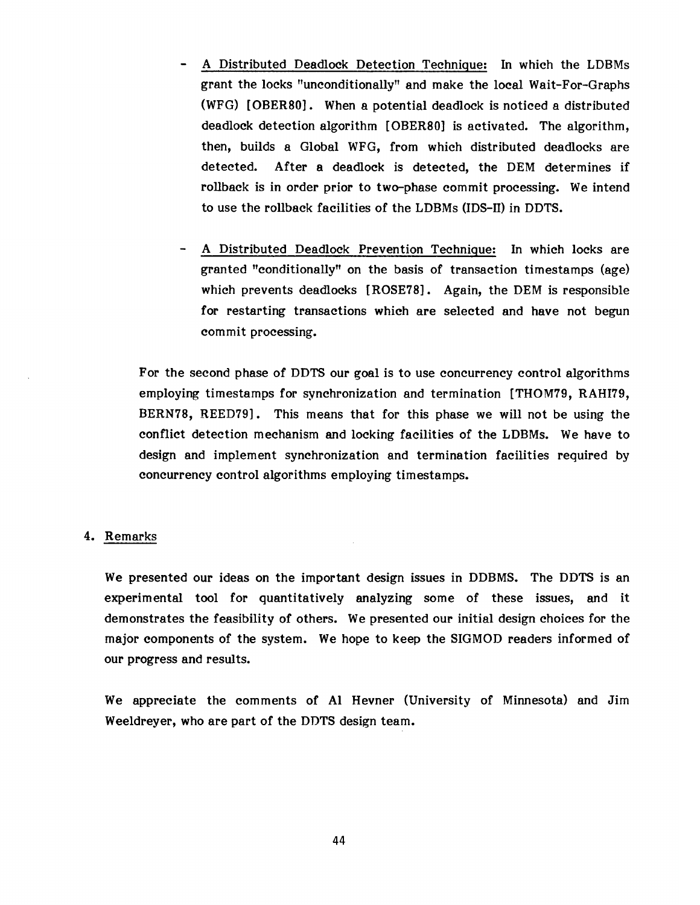- A Distributed Deadlock Detection Technique: In which the LDBMs grant the locks "unconditionally" and make the local Wait-For-Graphs (WFG) [OBER80]. When a potential deadlock is noticed a distributed deadlock detection algorithm [OBER80] is activated. The algorithm, then, builds a Global WFG, from which distributed deadlocks are detected. After a deadlock is detected, the DEM determines if rollback is in order prior to two-phase commit processing. We intend to use the rollback facilities of the LDBMs (IDS-II) in DDTS.
- A Distributed Deadlock Prevention Technique: In which locks are granted "conditionally" on the basis of transaction timestamps (age) which prevents deadlocks [ROSE78]. Again, the DEM is responsible for restarting transactions which are selected and have not begun commit processing.

For the second phase of DDTS our goal is to use concurrency control algorithms employing timestamps for synchronization and termination [THOM79, RAHI79, BERN78, REED79]. This means that for this phase we will not be using the conflict detection mechanism and locking facilities of the LDBMs. We have to design and implement synchronization and termination facilities required by concurrency control algorithms employing timestamps.

## 4. Remarks

We presented our ideas on the important design issues in DDBMS. The DDTS is an experimental tool for quantitatively analyzing some of these issues, and it demonstrates the feasibility of others. We presented our initial design choices for the major components of the system. We hope to keep the SIGMOD readers informed of our progress and results.

We appreciate the comments of Al Hevner (University of Minnesota) and Jim Weeldreyer, who are part of the DDTS design team.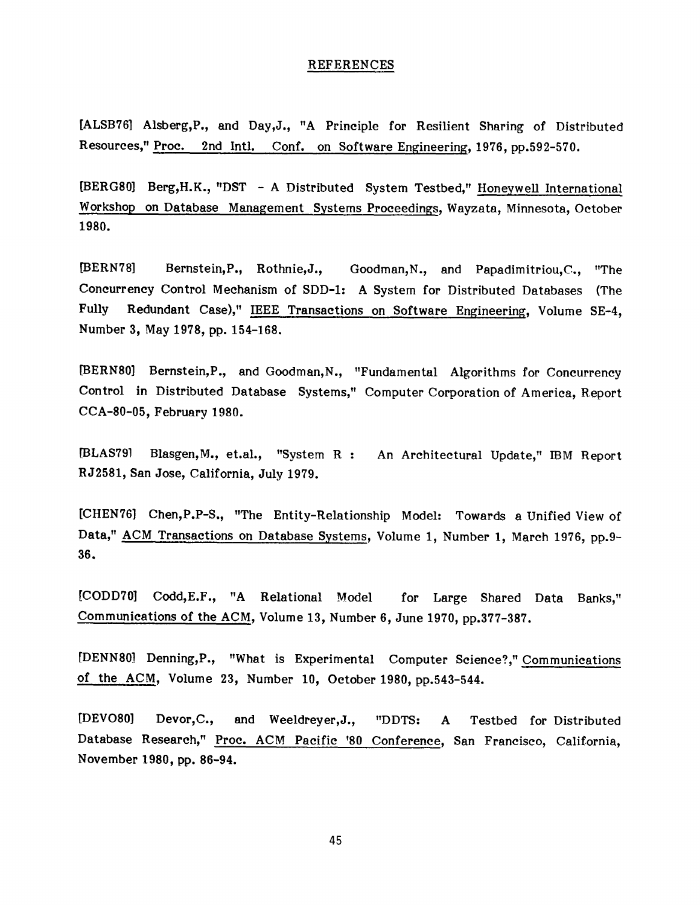#### REFERENCES

[ALSB76] Alsberg,P., and Day,J., "A Principle for Resilient Sharing of Distributed Resources," Proc. 2nd Intl. Conf. on Software Engineering, 1976, pp.592-570.

[BERG80] Berg,H.K., "DST - A Distributed System Testbed," Honeywell International Workshop on Database Management Systems Proceedings, Wayzata, Minnesota, October 1980.

[BERN78] Bernstein, P., Rothnie, J., Goodman, N., and Papadimitriou, C., "The Concurrency Control Mechanism of SDD-I: A System for Distributed Databases (The Fully Redundant Case)," IEEE Transactions on Software Engineering, Volume SE-4, Number 3, May 1978, pp. 154-168.

[BERN80] Bernstein, P., and Goodman, N., "Fundamental Algorithms for Concurrency Control in Distributed Database Systems," Computer Corporation of America, Report CCA-80-05, February 1980.

[BLAS79] Blasgen, M., et.al., "System R : An Architectural Update," IBM Report RJ2581, San Jose, California, July 1979.

[CHEN76] Chen,P.P-S., "The Entity-Relationship Model: Towards a Unified View of Data," ACM Transactions on Database Systems, Volume I, Number 1, March 1976, pp.9- 36.

[CODD70] Codd, E.F., "A Relational Model for Large Shared Data Banks," Communications of the ACM, Volume 13, Number 6, June 1970, pp.377-387.

[DENNS0] Denning,P., "What is Experimental Computer Science?," Communications of the ACM, Volume 23, Number 10, October 1980, pp.543-544.

[DEVO80] Devor,C., and Weeldreyer,J., "DDTS: A Testbed for Distributed Database Research," Proc. ACM Pacific '80 Conference, San Francisco, California, November 1980, pp. 86-94.

45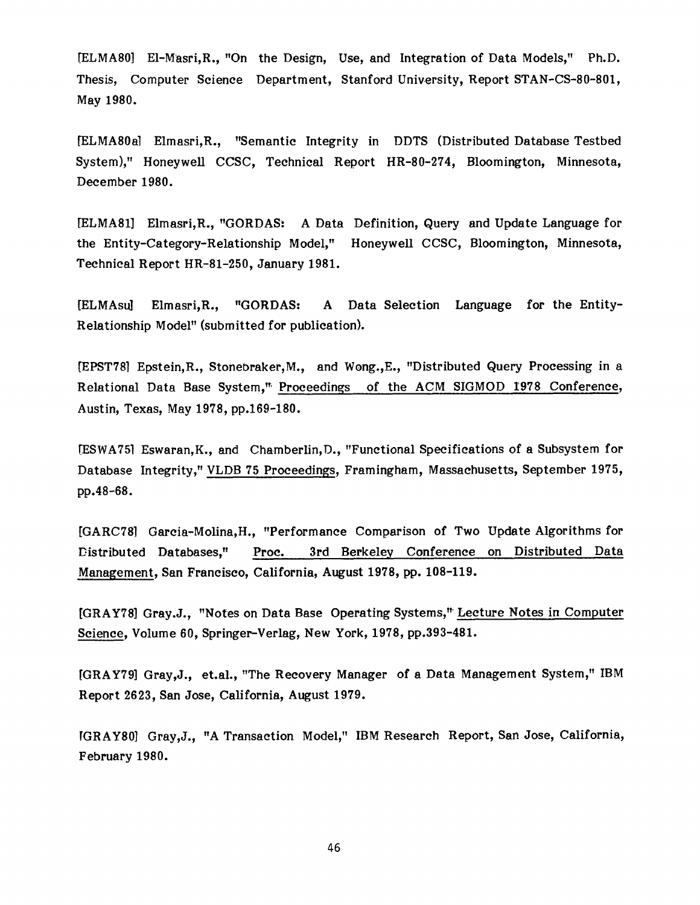[ELMA80] El-Masri, R., "On the Design, Use, and Integration of Data Models," Ph.D. Thesis, Computer Science Depart ment, Stanford University, Report STAN-CS-80-801, May 1980.

[ELMA80a] Elmasri,R., "Semantic Integrity in DDTS (Distributed Database Testbed System)," Honeywell CCSC, Technical Report HR-80-274, Bloomington, Minnesota, December 1980.

[ELMA81] Elmasri, R., "GORDAS: A Data Definition, Query and Update Language for the Entity-Category-Relationship Model," Honeywell CCSC, Bloomington, Minnesota, Technical Report HR-81-250, January 1981.

[ELMAsu] Elmasri,R., "GORDAS: A Data Selection Language for the Entity-Relationship Model" (submitted for publication).

[EPST78] Epstein, R., Stonebraker, M., and Wong,,E., "Distributed Query Processing in a Relational Data Base System," Proceedings of the ACM SIGMOD 1978 Conference, Austin, Texas, May 1978, pp.169-180.

[ESWA75] Eswaran, K., and Chamberlin, D., "Functional Specifications of a Subsystem for Database Integrity," VLDB 75 Proceedings, Framingham, Massachusetts, September 1975, pp.48-68.

[GARC78] Garcia-Molina, H., "Performance Comparison of Two Update Algorithms for Distributed Databases," Proc. 3rd Berkeley Conference on Distributed Data Management, San Francisco, California, August 1978, pp. **108-119.** 

[GRAY78] Gray.J., "Notes on Data Base Operating Systems," Lecture Notes in Computer Science, Volume 60, Springer-Verlag, New York, 1978, pp.393-481.

[GRAY79] Gray,J., et.al., "The Recovery Manager of a Data Management System," IBM Report 2623, San Jose, California, August 1979.

[GRAY80] Gray,J., "A Transaction Model," IBM Research Report, San Jose, California, February 1980.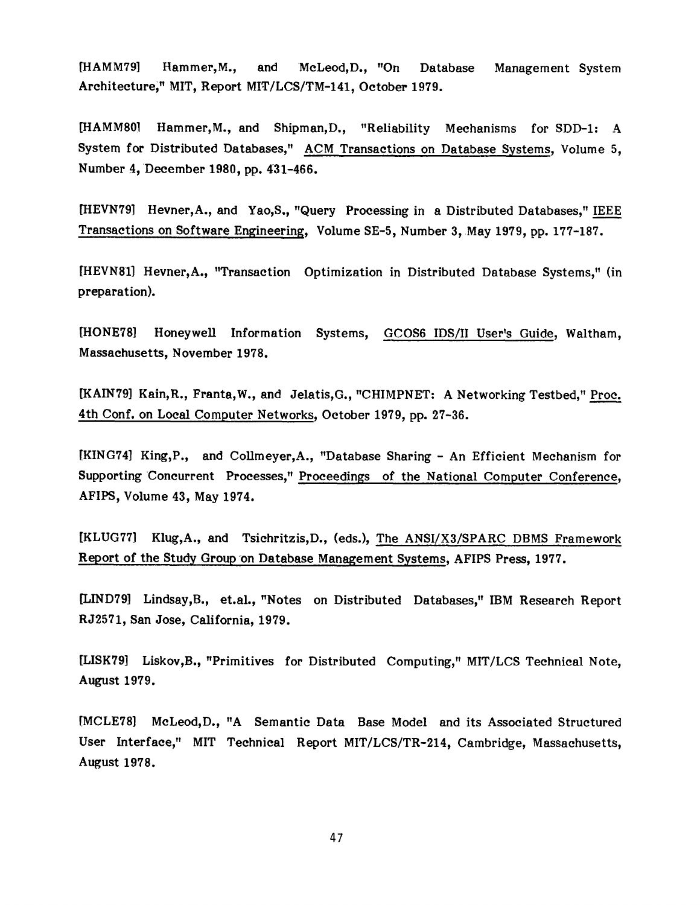[HAMM79] Hammer, M., and McLeod, D., "On Database Architecturei" MIT, Report *MIT/LCS/TM-141,* October 1979. Management System

[HAMMS0] Hammer, M., and Shipman, D., "Reliability Mechanisms for SDD-I: A System for Distributed Databases," ACM Transactions on Database Systems, Volume 5, Number 4, December 1980, pp. 431-466.

[HEVN79] Hevner,A., and Yao,S., "Query Processing in a Distributed Databases," IEEE Transactions on Software Engineering, Volume SE-5, Number 3, May 1979, pp. 177-187.

[HEVN81] Hevner, A., "Transaction Optimization in Distributed Database Systems," (in preparation).

[HONE78] Honeywell Information Systems, GCOS6 IDS/II User's Guide, Waltham, Massachusetts, November 1978.

[KAIN79] Kain, R., Franta, W., and Jelatis, G., "CHIMPNET: A Networking Testbed," Proc. 4th Conf. on Local Computer Networks, October 1979, pp. 27-36.

[KING74] King,P., and Collmeyer, A., "Database Sharing - An Efficient Mechanism for Supporting Concurrent Processes," Proceedings of the National Computer Conference, AFIPS, Volume 43, May 1974.

[KLUG77] Klug,A., and Tsichritzis,D., (eds.), The ANSI/X3/SPARC DBMS Framework Report of the Study Group on Database Management Systems, AFIPS Press, 1977.

[LIND79] Lindsay,B., et.al., "Notes on Distributed Databases," IBM Research Report RJ2571, San Jose, California, 1979.

[LISK79] Liskov,B., "Primitives for Distributed Computing," MIT/LCS Technical Note, August 1979.

[MCLE78] McLeod,D., "A Semantic Data Base Model and its Associated Structured User Interface," MIT Technical Report MIT/LCS/TR-214, Cambridge, Massachusetts, August 1978.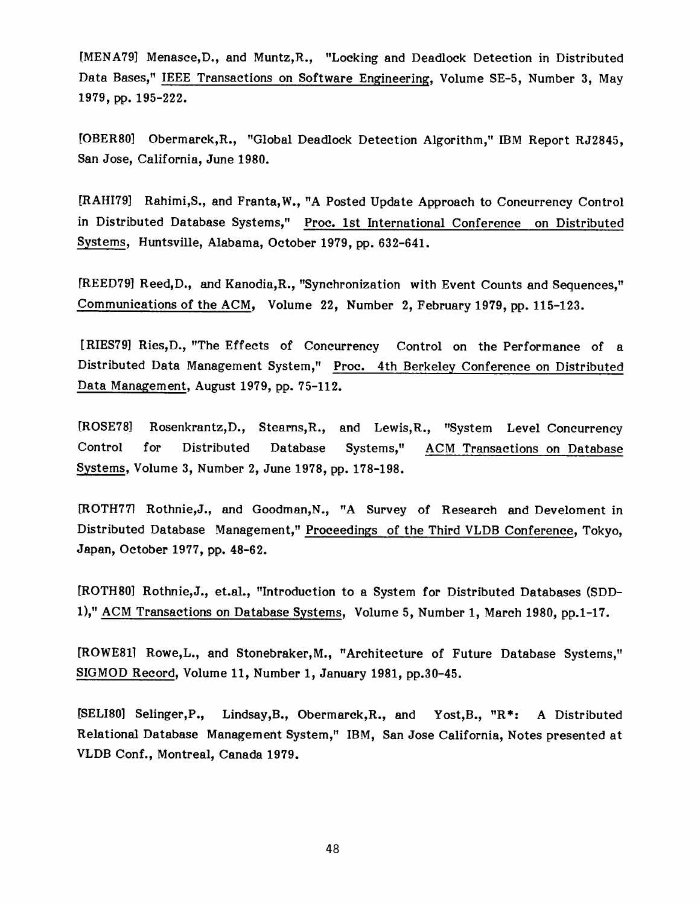[MENA79] Menasce,D., and Muntz,R., "Locking and Deadlock Detection in Distributed Data Bases," IEEE Transactions on Software Engineering, Volume SE-5, Number 3, May 1979, pp. 195-222.

[OBER80] Obermarck,R., "Global Deadlock Detection Algorithm," IBM Report RJ2845, San Jose, California, June 1980.

[RAHI79] Rahimi,S., and Franta,W., "A Posted Update Approach to Concurrency Control in Distributed Database Systems," Proc. 1st International Conference on Distributed Systems, Huntsville, Alabama, October 1979, pp. 632-641.

[REED79] Reed, D., and Kanodia, R., "Synchronization with Event Counts and Sequences," Communications of the ACM, Volume 22, Number 2, February 1979, pp. 115-123.

[RIES79] Ries,D., "The Effects of Concurrency Control on the Performance of a Distributed Data Management System," Proc. 4th Berkeley Conference on Distributed Data Management, August 1979, pp. 75-112.

[ROSE78] Rosenkrantz,D., Stearns,R., and Lewis,R., "System Level Concurrency Control for Distributed Database Systems," ACM Transactions on Database Systems, Volume 3, Number 2, June 1978, pp. 178-198.

[ROTH77] Rothnie,J., and Goodman,N., "A Survey of Research and Develoment in Distributed Database Management," Proceedings of the Third VLDB Conference, Tokyo, Japan, October 1977, pp. 48-62.

[ROTH80] Rothnie,J., et.al., "Introduction to a System for Distributed Databases (SDD-1)," ACM Transactions on Database Systems, Volume 5, Number 1, March 1980, pp.1-17.

[ROWE81] Rowe,L., and Stonebraker, M., "Architecture of Future Database Systems," SIGMOD Record, Volume 11, Number 1, January 1981, pp.30-45.

[SELI80] Selinger,P., Lindsay,B., Obermarek,R., and Yost,B., "R\*: A Distributed Relational Database Management System," IBM, San Jose California, Notes presented at VLDB Conf., Montreal, Canada 1979.